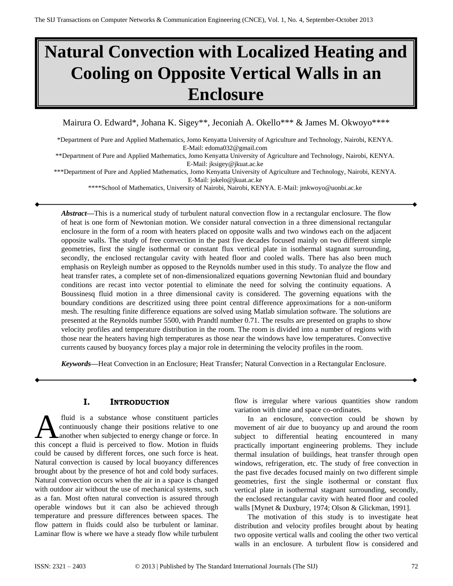# **Natural Convection with Localized Heating and Cooling on Opposite Vertical Walls in an Enclosure**

Mairura O. Edward\*, Johana K. Sigey\*\*, Jeconiah A. Okello\*\*\* & James M. Okwoyo\*\*\*\*

\*Department of Pure and Applied Mathematics, Jomo Kenyatta University of Agriculture and Technology, Nairobi, KENYA. E-Mail: edoma032@gmail.com

\*\*Department of Pure and Applied Mathematics, Jomo Kenyatta University of Agriculture and Technology, Nairobi, KENYA. E-Mail: jksigey@jkuat.ac.ke

\*\*\*Department of Pure and Applied Mathematics, Jomo Kenyatta University of Agriculture and Technology, Nairobi, KENYA. E-Mail: jokelo@jkuat.ac.ke

\*\*\*\*School of Mathematics, University of Nairobi, Nairobi, KENYA. E-Mail: jmkwoyo@uonbi.ac.ke

*Abstract—*This is a numerical study of turbulent natural convection flow in a rectangular enclosure. The flow of heat is one form of Newtonian motion. We consider natural convection in a three dimensional rectangular enclosure in the form of a room with heaters placed on opposite walls and two windows each on the adjacent opposite walls. The study of free convection in the past five decades focused mainly on two different simple geometries, first the single isothermal or constant flux vertical plate in isothermal stagnant surrounding, secondly, the enclosed rectangular cavity with heated floor and cooled walls. There has also been much emphasis on Reyleigh number as opposed to the Reynolds number used in this study. To analyze the flow and heat transfer rates, a complete set of non-dimensionalized equations governing Newtonian fluid and boundary conditions are recast into vector potential to eliminate the need for solving the continuity equations. A Boussinesq fluid motion in a three dimensional cavity is considered. The governing equations with the boundary conditions are descritized using three point central difference approximations for a non-uniform mesh. The resulting finite difference equations are solved using Matlab simulation software. The solutions are presented at the Reynolds number 5500, with Prandtl number 0.71. The results are presented on graphs to show velocity profiles and temperature distribution in the room. The room is divided into a number of regions with those near the heaters having high temperatures as those near the windows have low temperatures. Convective currents caused by buoyancy forces play a major role in determining the velocity profiles in the room.

*Keywords—*Heat Convection in an Enclosure; Heat Transfer; Natural Convection in a Rectangular Enclosure.

## **I. INTRODUCTION**

fluid is a substance whose constituent particles continuously change their positions relative to one another when subjected to energy change or force. In fluid is a substance whose constituent particles<br>
continuously change their positions relative to one<br>
this concept a fluid is perceived to flow. Motion in fluids could be caused by different forces, one such force is heat. Natural convection is caused by local buoyancy differences brought about by the presence of hot and cold body surfaces. Natural convection occurs when the air in a space is changed with outdoor air without the use of mechanical systems, such as a fan. Most often natural convection is assured through operable windows but it can also be achieved through temperature and pressure differences between spaces. The flow pattern in fluids could also be turbulent or laminar. Laminar flow is where we have a steady flow while turbulent

flow is irregular where various quantities show random variation with time and space co-ordinates.

In an enclosure, convection could be shown by movement of air due to buoyancy up and around the room subject to differential heating encountered in many practically important engineering problems. They include thermal insulation of buildings, heat transfer through open windows, refrigeration, etc. The study of free convection in the past five decades focused mainly on two different simple geometries, first the single isothermal or constant flux vertical plate in isothermal stagnant surrounding, secondly, the enclosed rectangular cavity with heated floor and cooled walls [Mynet & Duxbury, 1974; Olson & Glickman, 1991].

The motivation of this study is to investigate heat distribution and velocity profiles brought about by heating two opposite vertical walls and cooling the other two vertical walls in an enclosure. A turbulent flow is considered and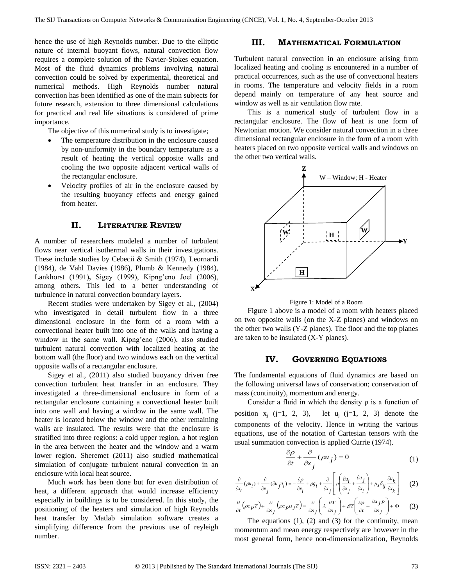hence the use of high Reynolds number. Due to the elliptic nature of internal buoyant flows, natural convection flow requires a complete solution of the Navier-Stokes equation. Most of the fluid dynamics problems involving natural convection could be solved by experimental, theoretical and numerical methods. High Reynolds number natural convection has been identified as one of the main subjects for future research, extension to three dimensional calculations for practical and real life situations is considered of prime importance.

The objective of this numerical study is to investigate;

- The temperature distribution in the enclosure caused by non-uniformity in the boundary temperature as a result of heating the vertical opposite walls and cooling the two opposite adjacent vertical walls of the rectangular enclosure.
- Velocity profiles of air in the enclosure caused by the resulting buoyancy effects and energy gained from heater.

## **II. LITERATURE REVIEW**

A number of researchers modeled a number of turbulent flows near vertical isothermal walls in their investigations. These include studies by Cebecii & Smith (1974), Leornardi (1984), de Vahl Davies (1986), Plumb & Kennedy (1984), Lankhorst (1991)**,** Sigey (1999), Kipng'eno Joel (2006), among others. This led to a better understanding of turbulence in natural convection boundary layers.

Recent studies were undertaken by Sigey et al., (2004) who investigated in detail turbulent flow in a three dimensional enclosure in the form of a room with a convectional heater built into one of the walls and having a window in the same wall. Kipng'eno (2006), also studied turbulent natural convection with localized heating at the bottom wall (the floor) and two windows each on the vertical opposite walls of a rectangular enclosure.

Sigey et al., (2011) also studied buoyancy driven free convection turbulent heat transfer in an enclosure. They investigated a three-dimensional enclosure in form of a rectangular enclosure containing a convectional heater built into one wall and having a window in the same wall. The heater is located below the window and the other remaining walls are insulated. The results were that the enclosure is stratified into three regions: a cold upper region, a hot region in the area between the heater and the window and a warm lower region. Sheremet (2011) also studied mathematical simulation of conjugate turbulent natural convection in an enclosure with local heat source.

Much work has been done but for even distribution of heat, a different approach that would increase efficiency especially in buildings is to be considered. In this study, the positioning of the heaters and simulation of high Reynolds heat transfer by Matlab simulation software creates a simplifying difference from the previous use of reyleigh number.

# **III. MATHEMATICAL FORMULATION**

Turbulent natural convection in an enclosure arising from localized heating and cooling is encountered in a number of practical occurrences, such as the use of convectional heaters in rooms. The temperature and velocity fields in a room depend mainly on temperature of any heat source and window as well as air ventilation flow rate.

This is a numerical study of turbulent flow in a rectangular enclosure. The flow of heat is one form of Newtonian motion. We consider natural convection in a three dimensional rectangular enclosure in the form of a room with heaters placed on two opposite vertical walls and windows on the other two vertical walls.





Figure 1 above is a model of a room with heaters placed on two opposite walls (on the X-Z planes) and windows on the other two walls (Y-Z planes). The floor and the top planes are taken to be insulated (X-Y planes).

#### **IV. GOVERNING EQUATIONS**

The fundamental equations of fluid dynamics are based on the following universal laws of conservation; conservation of mass (continuity), momentum and energy.

Consider a fluid in which the density  $\rho$  is a function of position  $x_i$  (j=1, 2, 3), let  $u_i$  (j=1, 2, 3) denote the components of the velocity. Hence in writing the various equations, use of the notation of Cartesian tensors with the usual summation convection is applied Currie (1974).

$$
\frac{\partial \rho}{\partial t} + \frac{\partial}{\partial x_j} (\rho u_j) = 0 \tag{1}
$$

$$
\frac{\partial}{\partial x_i}(\rho u_i) + \frac{\partial}{\partial x_j}(\partial u_j u_i) = -\frac{\partial \rho}{\partial x_i} + \rho g_i + \frac{\partial}{\partial x_j} \left[ \mu \left( \frac{\partial u_i}{\partial x_j} + \frac{\partial u_j}{\partial x_i} \right) + \mu_s \delta_{ij} \frac{\partial u_k}{\partial x_k} \right] \tag{2}
$$

$$
\frac{\partial}{\partial t} \left( \rho c_p T \right) + \frac{\partial}{\partial x_j} \left( \rho c_p u_j T \right) = \frac{\partial}{\partial x_j} \left( \lambda \frac{\partial T}{\partial x_j} \right) + \beta T \left( \frac{\partial p}{\partial t} + \frac{\partial u_j p}{\partial x_j} \right) + \Phi \tag{3}
$$

The equations  $(1)$ ,  $(2)$  and  $(3)$  for the continuity, mean momentum and mean energy respectively are however in the most general form, hence non-dimensionalization, Reynolds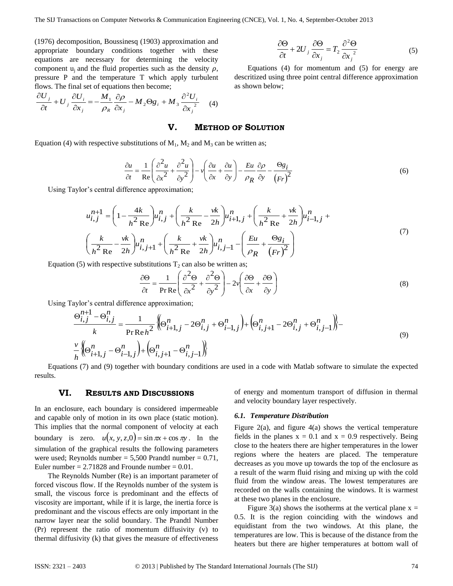(1976) decomposition, Boussinesq (1903) approximation and appropriate boundary conditions together with these equations are necessary for determining the velocity component  $u_i$  and the fluid properties such as the density  $\rho$ , pressure P and the temperature T which apply turbulent flows. The final set of equations then become;

$$
\frac{\partial U_j}{\partial t} + U_j \frac{\partial U_i}{\partial x_j} = -\frac{M_1}{\rho_R} \frac{\partial \rho}{\partial x_j} - M_2 \Theta g_i + M_3 \frac{\partial^2 U_i}{\partial x_j^2} \tag{4}
$$

$$
\frac{\partial \Theta}{\partial t} + 2U_j \frac{\partial \Theta}{\partial x_j} = T_2 \frac{\partial^2 \Theta}{\partial x_j^2}
$$
 (5)

Equations (4) for momentum and (5) for energy are descritized using three point central difference approximation as shown below;

#### **V. METHOD OF SOLUTION**

Equation (4) with respective substitutions of  $M_1$ ,  $M_2$  and  $M_3$  can be written as;

$$
\frac{\partial u}{\partial t} = \frac{1}{\text{Re}} \left( \frac{\partial^2 u}{\partial x^2} + \frac{\partial^2 u}{\partial y^2} \right) - v \left( \frac{\partial u}{\partial x} + \frac{\partial u}{\partial y} \right) - \frac{E u}{\rho_R} \frac{\partial \rho}{\partial y} - \frac{\Theta g_i}{(Fr)^2}
$$
(6)

Using Taylor's central difference approximation;

$$
u_{i,j}^{n+1} = \left(1 - \frac{4k}{h^2 \text{ Re}}\right) u_{i,j}^n + \left(\frac{k}{h^2 \text{ Re}} - \frac{vk}{2h}\right) u_{i+1,j}^n + \left(\frac{k}{h^2 \text{ Re}} + \frac{vk}{2h}\right) u_{i-1,j}^n + \left(\frac{k}{h^2 \text{ Re}} - \frac{vk}{2h}\right) u_{i,j+1}^n + \left(\frac{k}{h^2 \text{ Re}} + \frac{vk}{2h}\right) u_{i,j-1}^n - \left(\frac{Eu}{\rho_R} + \frac{\Theta g_i}{(Fr)^2}\right)
$$
\n(7)

Equation (5) with respective substitutions  $T_2$  can also be written as;

$$
\frac{\partial \Theta}{\partial t} = \frac{1}{\Pr \text{Re}} \left( \frac{\partial^2 \Theta}{\partial x^2} + \frac{\partial^2 \Theta}{\partial y^2} \right) - 2v \left( \frac{\partial \Theta}{\partial x} + \frac{\partial \Theta}{\partial y} \right)
$$
(8)

Using Taylor's central difference approximation;

$$
\frac{\Theta_{i,j}^{n+1} - \Theta_{i,j}^n}{k} = \frac{1}{\text{Pr}\,\text{Re}\,h^2} \left\{ \Theta_{i+1,j}^n - 2\Theta_{i,j}^n + \Theta_{i-1,j}^n \right\} + \left( \Theta_{i,j+1}^n - 2\Theta_{i,j}^n + \Theta_{i,j-1}^n \right) \right\} - \frac{\nu}{h} \left\{ \Theta_{i+1,j}^n - \Theta_{i-1,j}^n \right\} + \left( \Theta_{i,j+1}^n - \Theta_{i,j-1}^n \right) \tag{9}
$$

Equations (7) and (9) together with boundary conditions are used in a code with Matlab software to simulate the expected results.

## **VI. RESULTS AND DISCUSSIONS**

In an enclosure, each boundary is considered impermeable and capable only of motion in its own place (static motion). This implies that the normal component of velocity at each boundary is zero.  $u(x, y, z, 0) = \sin \pi x + \cos \pi y$ . In the simulation of the graphical results the following parameters were used; Reynolds number =  $5{,}500$  Prandtl number = 0.71, Euler number  $= 2.71828$  and Frounde number  $= 0.01$ .

The Reynolds Number (Re) is an important parameter of forced viscous flow. If the Reynolds number of the system is small, the viscous force is predominant and the effects of viscosity are important, while if it is large, the inertia force is predominant and the viscous effects are only important in the narrow layer near the solid boundary. The Prandtl Number (Pr) represent the ratio of momentum diffusivity (v) to thermal diffusivity (k) that gives the measure of effectiveness

of energy and momentum transport of diffusion in thermal and velocity boundary layer respectively.

#### *6.1. Temperature Distribution*

Figure 2(a), and figure 4(a) shows the vertical temperature fields in the planes  $x = 0.1$  and  $x = 0.9$  respectively. Being close to the heaters there are higher temperatures in the lower regions where the heaters are placed. The temperature decreases as you move up towards the top of the enclosure as a result of the warm fluid rising and mixing up with the cold fluid from the window areas. The lowest temperatures are recorded on the walls containing the windows. It is warmest at these two planes in the enclosure.

Figure 3(a) shows the isotherms at the vertical plane  $x =$ 0.5. It is the region coinciding with the windows and equidistant from the two windows. At this plane, the temperatures are low. This is because of the distance from the heaters but there are higher temperatures at bottom wall of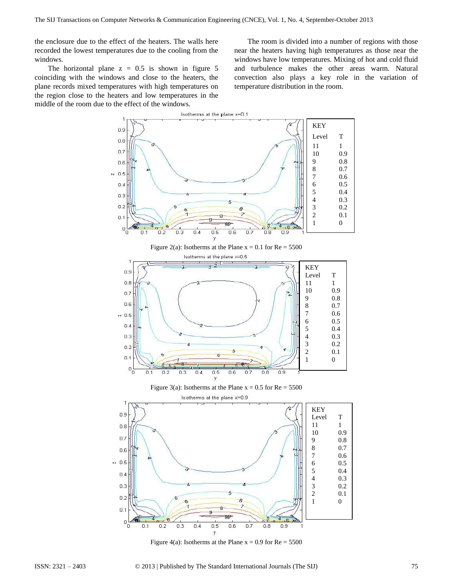the enclosure due to the effect of the heaters. The walls here recorded the lowest temperatures due to the cooling from the windows.

The horizontal plane  $z = 0.5$  is shown in figure 5 coinciding with the windows and close to the heaters, the plane records mixed temperatures with high temperatures on the region close to the heaters and low temperatures in the middle of the room due to the effect of the windows.

The room is divided into a number of regions with those near the heaters having high temperatures as those near the windows have low temperatures. Mixing of hot and cold fluid and turbulence makes the other areas warm. Natural convection also plays a key role in the variation of temperature distribution in the room.





Figure 4(a): Isotherms at the Plane  $x = 0.9$  for  $Re = 5500$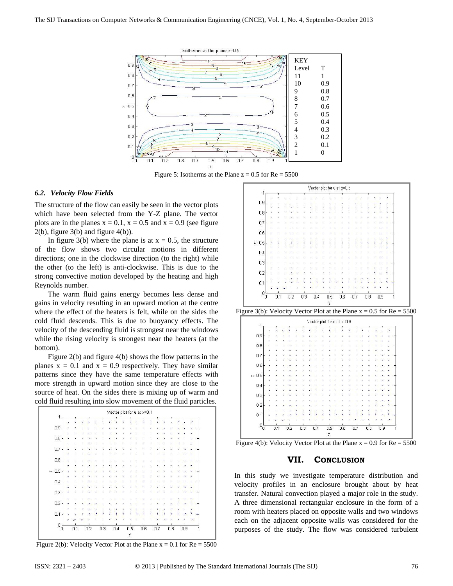

Figure 5: Isotherms at the Plane  $z = 0.5$  for  $Re = 5500$ 

#### *6.2. Velocity Flow Fields*

The structure of the flow can easily be seen in the vector plots which have been selected from the Y-Z plane. The vector plots are in the planes  $x = 0.1$ ,  $x = 0.5$  and  $x = 0.9$  (see figure  $2(b)$ , figure  $3(b)$  and figure  $4(b)$ ).

In figure 3(b) where the plane is at  $x = 0.5$ , the structure of the flow shows two circular motions in different directions; one in the clockwise direction (to the right) while the other (to the left) is anti-clockwise. This is due to the strong convective motion developed by the heating and high Reynolds number.

The warm fluid gains energy becomes less dense and gains in velocity resulting in an upward motion at the centre where the effect of the heaters is felt, while on the sides the cold fluid descends. This is due to buoyancy effects. The velocity of the descending fluid is strongest near the windows while the rising velocity is strongest near the heaters (at the bottom).

Figure 2(b) and figure 4(b) shows the flow patterns in the planes  $x = 0.1$  and  $x = 0.9$  respectively. They have similar patterns since they have the same temperature effects with more strength in upward motion since they are close to the source of heat. On the sides there is mixing up of warm and cold fluid resulting into slow movement of the fluid particles.



Figure 2(b): Velocity Vector Plot at the Plane  $x = 0.1$  for  $Re = 5500$ 

| $\vert$                                                                  |   |     |     |     |     |     | Vector plot for u at x=0.5 |     |     |     |   |
|--------------------------------------------------------------------------|---|-----|-----|-----|-----|-----|----------------------------|-----|-----|-----|---|
|                                                                          |   |     |     |     |     |     |                            |     |     |     |   |
| 0.9                                                                      |   |     |     |     |     |     |                            |     |     |     |   |
|                                                                          |   |     |     |     |     |     |                            |     |     |     |   |
| $0.8\,$                                                                  |   |     |     |     |     |     |                            |     |     |     |   |
| 0.7                                                                      |   |     |     |     |     |     |                            |     |     |     |   |
|                                                                          |   |     |     |     |     |     |                            |     |     |     |   |
| 0.6                                                                      |   |     |     |     |     |     |                            |     |     |     |   |
|                                                                          |   |     |     |     |     |     |                            |     |     |     |   |
| $~\sim~0.5$                                                              |   |     |     |     |     |     |                            |     |     |     |   |
|                                                                          |   |     |     |     |     |     |                            |     |     |     |   |
| 0.4                                                                      |   |     |     |     |     |     |                            |     |     |     |   |
| 0.3                                                                      |   |     |     |     |     |     |                            |     |     |     |   |
|                                                                          |   |     |     |     |     |     |                            |     |     |     |   |
| 0.2                                                                      |   |     |     |     |     |     |                            |     |     |     |   |
|                                                                          |   |     |     |     |     |     |                            |     |     |     |   |
| 0.1                                                                      |   |     |     |     |     |     |                            |     |     |     |   |
|                                                                          |   |     |     |     |     |     |                            |     |     |     |   |
|                                                                          | 0 | 0.1 | 0.2 | 0.3 | 0.4 | 0.5 | 0.6                        | 0.7 | 0.8 | 0.9 | 1 |
|                                                                          |   |     |     |     |     |     |                            |     |     |     |   |
| Figure 3(b): Velocity Vector Plot at the Plane $x = 0.5$ for $Re = 5500$ | O |     |     |     |     | y   |                            |     |     |     |   |
|                                                                          |   |     |     |     |     |     | Vector plot for u at x=0.9 |     |     |     |   |
| $\overline{1}$                                                           |   |     |     |     |     |     |                            |     |     |     |   |
|                                                                          |   |     |     |     |     |     |                            |     |     |     |   |
| 0.9                                                                      |   |     |     |     |     |     |                            |     |     |     |   |
| $_{0.8}$                                                                 |   |     |     |     |     |     |                            |     |     |     |   |
|                                                                          |   |     |     |     |     |     |                            |     |     |     |   |
| 0.7                                                                      |   |     |     |     |     |     |                            |     |     |     |   |
|                                                                          |   |     |     |     |     |     |                            |     |     |     |   |
| 0.6                                                                      |   |     |     |     |     |     |                            |     |     |     |   |
|                                                                          |   |     |     |     |     |     |                            |     |     |     |   |
|                                                                          |   |     |     |     |     |     |                            |     |     |     |   |
| 0.4                                                                      |   |     |     |     |     |     |                            |     |     |     |   |
|                                                                          |   |     |     |     |     |     |                            |     |     |     |   |
| 0.3                                                                      |   |     |     |     |     |     |                            |     |     |     |   |
|                                                                          |   |     |     |     |     |     |                            |     |     |     |   |
| 0.2                                                                      |   |     |     |     |     |     |                            |     |     |     |   |
| 0.1                                                                      |   |     |     |     |     |     |                            |     |     |     |   |
| $~\sim~0.5$<br>0                                                         |   |     |     |     |     |     |                            |     |     |     |   |

Figure 4(b): Velocity Vector Plot at the Plane  $x = 0.9$  for  $Re = 5500$ 

#### **VII. CONCLUSION**

In this study we investigate temperature distribution and velocity profiles in an enclosure brought about by heat transfer. Natural convection played a major role in the study. A three dimensional rectangular enclosure in the form of a room with heaters placed on opposite walls and two windows each on the adjacent opposite walls was considered for the purposes of the study. The flow was considered turbulent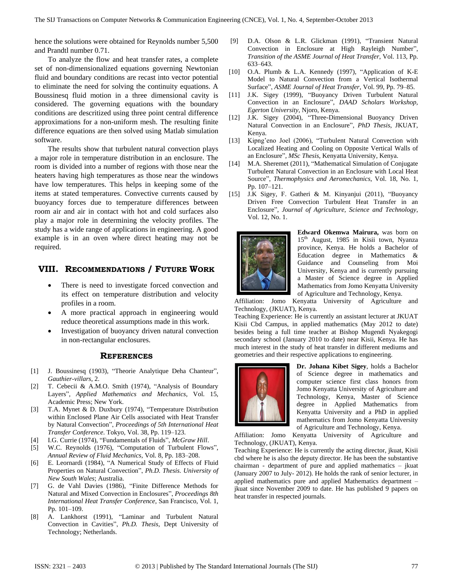hence the solutions were obtained for Reynolds number 5,500 and Prandtl number 0.71.

To analyze the flow and heat transfer rates, a complete set of non-dimensionalized equations governing Newtonian fluid and boundary conditions are recast into vector potential to eliminate the need for solving the continuity equations. A Boussinesq fluid motion in a three dimensional cavity is considered. The governing equations with the boundary conditions are descritized using three point central difference approximations for a non-uniform mesh. The resulting finite difference equations are then solved using Matlab simulation software.

The results show that turbulent natural convection plays a major role in temperature distribution in an enclosure. The room is divided into a number of regions with those near the heaters having high temperatures as those near the windows have low temperatures. This helps in keeping some of the items at stated temperatures. Convective currents caused by buoyancy forces due to temperature differences between room air and air in contact with hot and cold surfaces also play a major role in determining the velocity profiles. The study has a wide range of applications in engineering. A good example is in an oven where direct heating may not be required.

## **VIII. RECOMMENDATIONS / FUTURE WORK**

- There is need to investigate forced convection and its effect on temperature distribution and velocity profiles in a room.
- A more practical approach in engineering would reduce theoretical assumptions made in this work.
- Investigation of buoyancy driven natural convection in non-rectangular enclosures.

#### **REFERENCES**

- [1] J. Boussinesq (1903), "Theorie Analytique Deha Chanteur", *Gauthier-villars*, 2.
- [2] T. Cebecii & A.M.O. Smith (1974), "Analysis of Boundary Layers", *Applied Mathematics and Mechanics*, Vol. 15, Academic Press; New York.
- [3] T.A. Mynet & D. Duxbury (1974), "Temperature Distribution within Enclosed Plane Air Cells associated with Heat Transfer by Natural Convection", *Proceedings of 5th International Heat Transfer Conference*. Tokyo, Vol. 38, Pp. 119–123.
- [4] I.G. Currie (1974), "Fundamentals of Fluids", *McGraw Hill*.
- [5] W.C. Reynolds (1976), "Computation of Turbulent Flows", *Annual Review of Fluid Mechanics*, Vol. 8, Pp. 183–208.
- [6] E. Leornardi (1984), "A Numerical Study of Effects of Fluid Properties on Natural Convection", *Ph.D. Thesis. University of New South Wales*; Australia.
- [7] G. de Vahl Davies (1986), "Finite Difference Methods for Natural and Mixed Convection in Enclosures", *Proceedings 8th International Heat Transfer Conference*, San Francisco, Vol. 1, Pp. 101–109.
- [8] A. Lankhorst (1991), "Laminar and Turbulent Natural Convection in Cavities", *Ph.D. Thesis*, Dept University of Technology; Netherlands.
- [9] D.A. Olson & L.R. Glickman (1991), "Transient Natural Convection in Enclosure at High Rayleigh Number", *Transition of the ASME Journal of Heat Transfer*, Vol. 113, Pp. 633–643.
- [10] O.A. Plumb & L.A. Kennedy (1997), "Application of K-E Model to Natural Convection from a Vertical Isothermal Surface", *ASME Journal of Heat Transfer*, Vol. 99, Pp. 79–85.
- [11] J.K. Sigey (1999), "Buoyancy Driven Turbulent Natural Convection in an Enclosure", *DAAD Scholars Workshop, Egerton University*, Njoro, Kenya.
- [12] J.K. Sigey (2004), "Three-Dimensional Buoyancy Driven Natural Convection in an Enclosure", *PhD Thesis*, JKUAT, Kenya.
- [13] Kipng'eno Joel (2006), "Turbulent Natural Convection with Localized Heating and Cooling on Opposite Vertical Walls of an Enclosure", *MSc Thesis*, Kenyatta University, Kenya.
- [14] M.A. [Sheremet](http://link.springer.com/search?facet-author=%22M.+A.+Sheremet%22) (2011), "Mathematical Simulation of Conjugate Turbulent Natural Convection in an Enclosure with Local Heat Source", *Thermophysics and Aeromechanics*, Vol. 18, No. 1, Pp. 107–121.
- [15] J.K Sigey, F. Gatheri & M. Kinyanjui (2011), "Buoyancy Driven Free Convection Turbulent Heat Transfer in an Enclosure", *Journal of Agriculture, Science and Technology*, Vol. 12, No. 1.



**Edward Okemwa Mairura,** was born on 15<sup>th</sup> August, 1985 in Kisii town, Nyanza province, Kenya. He holds a Bachelor of Education degree in Mathematics & Guidance and Counseling from Moi University, Kenya and is currently pursuing a Master of Science degree in Applied Mathematics from Jomo Kenyatta University of Agriculture and Technology, Kenya.

Affiliation: Jomo Kenyatta University of Agriculture and Technology, (JKUAT), Kenya.

Teaching Experience: He is currently an assistant lecturer at JKUAT Kisii Cbd Campus, in applied mathematics (May 2012 to date) besides being a full time teacher at Bishop Mugendi Nyakegogi secondary school (January 2010 to date) near Kisii, Kenya. He has much interest in the study of heat transfer in different mediums and geometries and their respective applications to engineering.



**Dr. Johana Kibet Sigey**, holds a Bachelor of Science degree in mathematics and computer science first class honors from Jomo Kenyatta University of Agriculture and Technology, Kenya, Master of Science degree in Applied Mathematics from Kenyatta University and a PhD in applied mathematics from Jomo Kenyatta University of Agriculture and Technology, Kenya.

Affiliation: Jomo Kenyatta University of Agriculture and Technology, (JKUAT), Kenya.

Teaching Experience: He is currently the acting director, jkuat, Kisii cbd where he is also the deputy director. He has been the substantive chairman - department of pure and applied mathematics – jkuat (January 2007 to July- 2012). He holds the rank of senior lecturer, in applied mathematics pure and applied Mathematics department – jkuat since November 2009 to date. He has published 9 papers on heat transfer in respected journals.